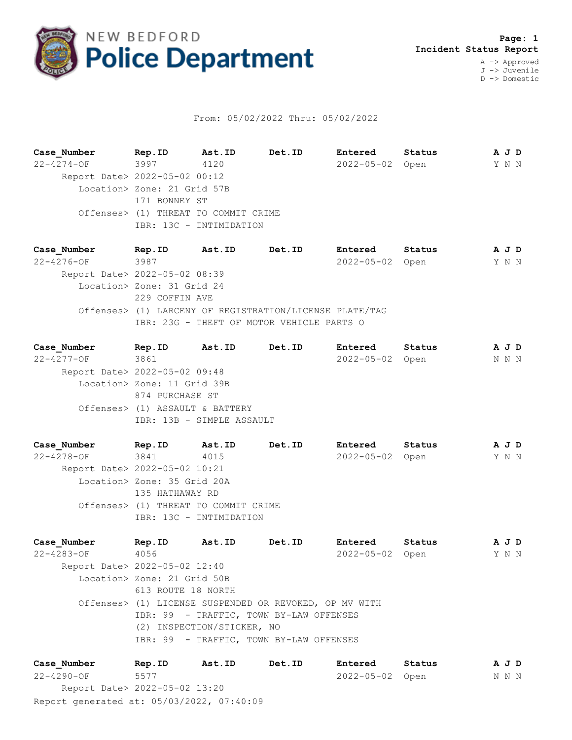

## From: 05/02/2022 Thru: 05/02/2022

**Case\_Number Rep.ID Ast.ID Det.ID Entered Status A J D** 22-4274-OF 3997 4120 2022-05-02 Open Y N N Report Date> 2022-05-02 00:12 Location> Zone: 21 Grid 57B 171 BONNEY ST Offenses> (1) THREAT TO COMMIT CRIME IBR: 13C - INTIMIDATION

**Case\_Number Rep.ID Ast.ID Det.ID Entered Status A J D** 22-4276-OF 3987 2022-05-02 Open Y N N Report Date> 2022-05-02 08:39 Location> Zone: 31 Grid 24 229 COFFIN AVE Offenses> (1) LARCENY OF REGISTRATION/LICENSE PLATE/TAG IBR: 23G - THEFT OF MOTOR VEHICLE PARTS O

| Case Number                   | Rep.ID                          | Ast.ID                    | Det.ID | Entered          | Status | A J D |  |
|-------------------------------|---------------------------------|---------------------------|--------|------------------|--------|-------|--|
| $22 - 4277 - OF$              | 3861                            |                           |        | $2022 - 05 - 02$ | Open   | N N N |  |
| Report Date> 2022-05-02 09:48 |                                 |                           |        |                  |        |       |  |
|                               | Location> Zone: 11 Grid 39B     |                           |        |                  |        |       |  |
|                               | 874 PURCHASE ST                 |                           |        |                  |        |       |  |
|                               | Offenses> (1) ASSAULT & BATTERY |                           |        |                  |        |       |  |
|                               |                                 | IBR: 13B - SIMPLE ASSAULT |        |                  |        |       |  |
|                               |                                 |                           |        |                  |        |       |  |

**Case\_Number Rep.ID Ast.ID Det.ID Entered Status A J D** 22-4278-OF 3841 4015 2022-05-02 Open Y N N Report Date> 2022-05-02 10:21 Location> Zone: 35 Grid 20A 135 HATHAWAY RD Offenses> (1) THREAT TO COMMIT CRIME IBR: 13C - INTIMIDATION

**Case\_Number Rep.ID Ast.ID Det.ID Entered Status A J D** 22-4283-OF 4056 2022-05-02 Open Y N N Report Date> 2022-05-02 12:40 Location> Zone: 21 Grid 50B 613 ROUTE 18 NORTH Offenses> (1) LICENSE SUSPENDED OR REVOKED, OP MV WITH IBR: 99 - TRAFFIC, TOWN BY-LAW OFFENSES (2) INSPECTION/STICKER, NO IBR: 99 - TRAFFIC, TOWN BY-LAW OFFENSES

Report generated at: 05/03/2022, 07:40:09 **Case\_Number Rep.ID Ast.ID Det.ID Entered Status A J D** 22-4290-OF 5577 2022-05-02 Open N N N Report Date> 2022-05-02 13:20